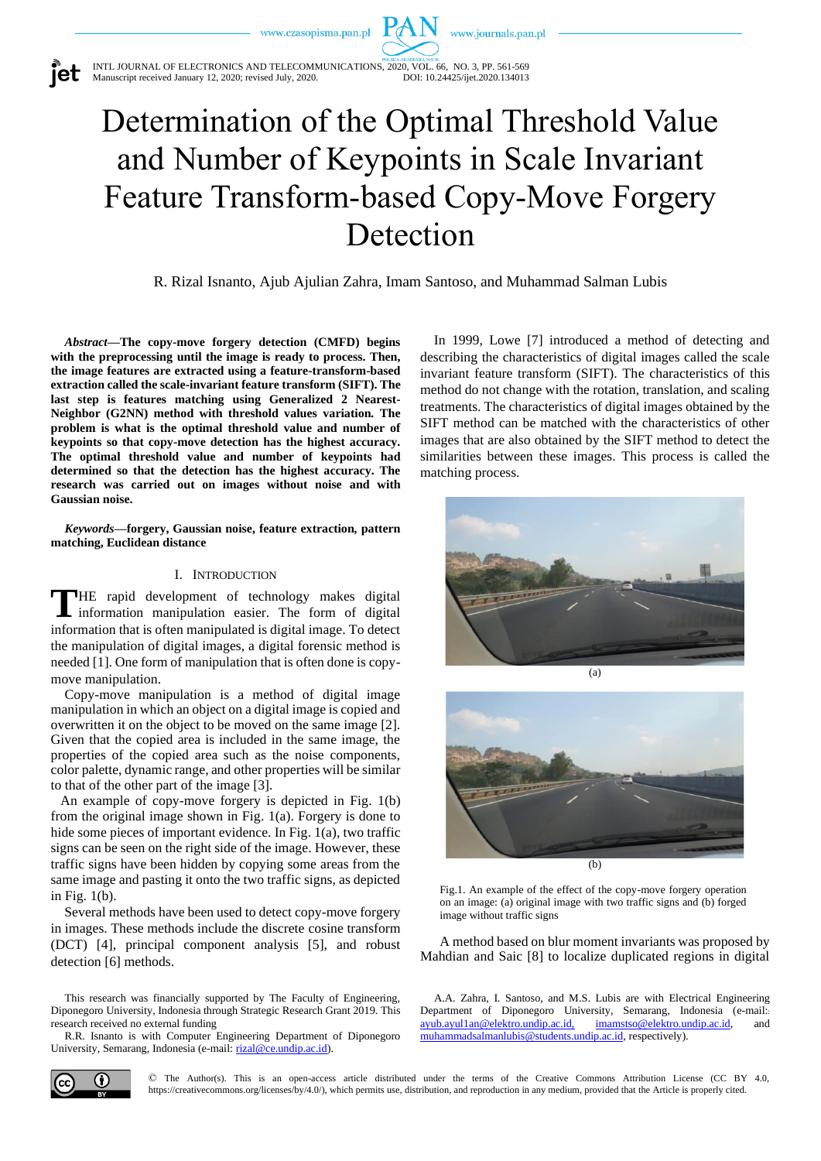www.journals.pan.pl



INTL JOURNAL OF ELECTRONICS AND TELECOMMUNICATIONS, 2020, VOL. 66, NO. 3, PP. 561-569<br>Manuscript received January 12, 2020; revised July, 2020. DOI: 10.24425/ijet.2020.134013 Manuscript received January 12, 2020; revised July, 2020.

# Determination of the Optimal Threshold Value and Number of Keypoints in Scale Invariant Feature Transform-based Copy-Move Forgery Detection

R. Rizal Isnanto, Ajub Ajulian Zahra, Imam Santoso, and Muhammad Salman Lubis

*Abstract***—The copy-move forgery detection (CMFD) begins with the preprocessing until the image is ready to process. Then, the image features are extracted using a feature-transform-based extraction called the scale-invariant feature transform (SIFT). The last step is features matching using Generalized 2 Nearest-Neighbor (G2NN) method with threshold values variation***.* **The problem is what is the optimal threshold value and number of keypoints so that copy-move detection has the highest accuracy. The optimal threshold value and number of keypoints had determined so that the detection has the highest accuracy. The research was carried out on images without noise and with Gaussian noise.** 

*Keywords***—forgery, Gaussian noise, feature extraction***,* **pattern matching, Euclidean distance**

# I. INTRODUCTION

THE rapid development of technology makes digital information manipulation easier. The form of digital information manipulation easier. The form of digital information that is often manipulated is digital image. To detect the manipulation of digital images, a digital forensic method is needed [1]. One form of manipulation that is often done is copymove manipulation.

Copy-move manipulation is a method of digital image manipulation in which an object on a digital image is copied and overwritten it on the object to be moved on the same image [2]. Given that the copied area is included in the same image, the properties of the copied area such as the noise components, color palette, dynamic range, and other properties will be similar to that of the other part of the image [3].

An example of copy-move forgery is depicted in Fig. 1(b) from the original image shown in Fig. 1(a). Forgery is done to hide some pieces of important evidence. In Fig. 1(a), two traffic signs can be seen on the right side of the image. However, these traffic signs have been hidden by copying some areas from the same image and pasting it onto the two traffic signs, as depicted in Fig. 1(b).

Several methods have been used to detect copy-move forgery in images. These methods include the discrete cosine transform (DCT) [4], principal component analysis [5], and robust detection [6] methods.

This research was financially supported by The Faculty of Engineering, Diponegoro University, Indonesia through Strategic Research Grant 2019. This research received no external funding

R.R. Isnanto is with Computer Engineering Department of Diponegoro University, Semarang, Indonesia (e-mail[: rizal@ce.undip.ac.id\)](mailto:rizal@ce.undip.ac.id).

In 1999, Lowe [7] introduced a method of detecting and describing the characteristics of digital images called the scale invariant feature transform (SIFT). The characteristics of this method do not change with the rotation, translation, and scaling treatments. The characteristics of digital images obtained by the SIFT method can be matched with the characteristics of other images that are also obtained by the SIFT method to detect the similarities between these images. This process is called the matching process.





Fig.1. An example of the effect of the copy-move forgery operation on an image: (a) original image with two traffic signs and (b) forged image without traffic signs

A method based on blur moment invariants was proposed by Mahdian and Saic [8] to localize duplicated regions in digital

A.A. Zahra, I. Santoso, and M.S. Lubis are with Electrical Engineering Department of Diponegoro University, Semarang, Indonesia (e-mail:: [ayub.ayul1an@elektro.undip.ac.id,](mailto:ayub.ayul1an@elektro.undip.ac.id) [imamstso@elektro.undip.ac.id,](mailto:imamstso@elektro.undip.ac.id) and [muhammadsalmanlubis@students.undip.ac.id,](mailto:muhammadsalmanlubis@students.undip.ac.id) respectively).



© The Author(s). This is an open-access article distributed under the terms of the Creative Commons Attribution License (CC BY 4.0, https://creativecommons.org/licenses/by/4.0/), which permits use, distribution, and reproduction in any medium, provided that the Article is properly cited.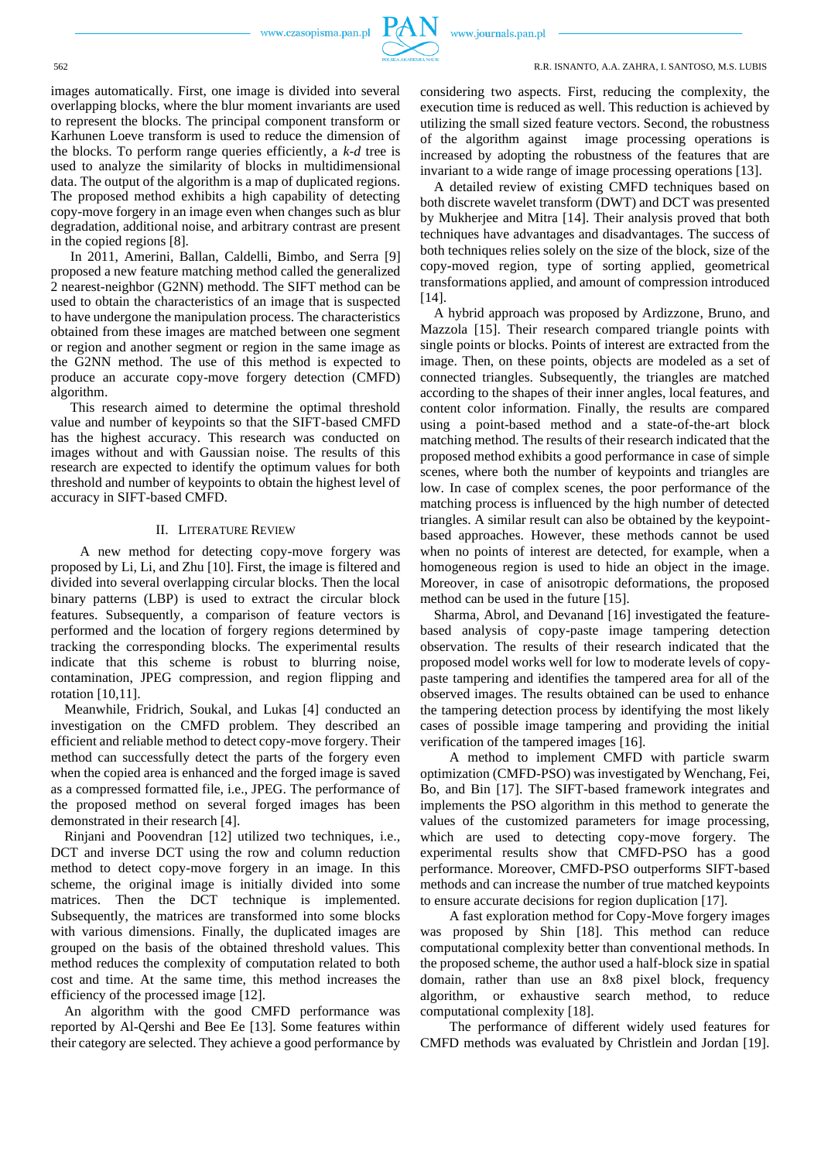

#### 562 R.R. ISNANTO, A.A. ZAHRA, I. SANTOSO, M.S. LUBIS

images automatically. First, one image is divided into several overlapping blocks, where the blur moment invariants are used to represent the blocks. The principal component transform or Karhunen Loeve transform is used to reduce the dimension of the blocks. To perform range queries efficiently, a *k-d* tree is used to analyze the similarity of blocks in multidimensional data. The output of the algorithm is a map of duplicated regions. The proposed method exhibits a high capability of detecting copy-move forgery in an image even when changes such as blur degradation, additional noise, and arbitrary contrast are present in the copied regions [8].

In 2011, Amerini, Ballan, Caldelli, Bimbo, and Serra [9] proposed a new feature matching method called the generalized 2 nearest-neighbor (G2NN) methodd. The SIFT method can be used to obtain the characteristics of an image that is suspected to have undergone the manipulation process. The characteristics obtained from these images are matched between one segment or region and another segment or region in the same image as the G2NN method. The use of this method is expected to produce an accurate copy-move forgery detection (CMFD) algorithm.

This research aimed to determine the optimal threshold value and number of keypoints so that the SIFT-based CMFD has the highest accuracy. This research was conducted on images without and with Gaussian noise. The results of this research are expected to identify the optimum values for both threshold and number of keypoints to obtain the highest level of accuracy in SIFT-based CMFD.

# II. LITERATURE REVIEW

A new method for detecting copy-move forgery was proposed by Li, Li, and Zhu [10]. First, the image is filtered and divided into several overlapping circular blocks. Then the local binary patterns (LBP) is used to extract the circular block features. Subsequently, a comparison of feature vectors is performed and the location of forgery regions determined by tracking the corresponding blocks. The experimental results indicate that this scheme is robust to blurring noise, contamination, JPEG compression, and region flipping and rotation [10,11].

Meanwhile, Fridrich, Soukal, and Lukas [4] conducted an investigation on the CMFD problem. They described an efficient and reliable method to detect copy-move forgery. Their method can successfully detect the parts of the forgery even when the copied area is enhanced and the forged image is saved as a compressed formatted file, i.e., JPEG. The performance of the proposed method on several forged images has been demonstrated in their research [4].

Rinjani and Poovendran [12] utilized two techniques, i.e., DCT and inverse DCT using the row and column reduction method to detect copy-move forgery in an image. In this scheme, the original image is initially divided into some matrices. Then the DCT technique is implemented. Subsequently, the matrices are transformed into some blocks with various dimensions. Finally, the duplicated images are grouped on the basis of the obtained threshold values. This method reduces the complexity of computation related to both cost and time. At the same time, this method increases the efficiency of the processed image [12].

An algorithm with the good CMFD performance was reported by Al-Qershi and Bee Ee [13]. Some features within their category are selected. They achieve a good performance by considering two aspects. First, reducing the complexity, the execution time is reduced as well. This reduction is achieved by utilizing the small sized feature vectors. Second, the robustness of the algorithm against image processing operations is increased by adopting the robustness of the features that are invariant to a wide range of image processing operations [13].

A detailed review of existing CMFD techniques based on both discrete wavelet transform (DWT) and DCT was presented by Mukherjee and Mitra [14]. Their analysis proved that both techniques have advantages and disadvantages. The success of both techniques relies solely on the size of the block, size of the copy-moved region, type of sorting applied, geometrical transformations applied, and amount of compression introduced  $[14]$ .

A hybrid approach was proposed by Ardizzone, Bruno, and Mazzola [15]. Their research compared triangle points with single points or blocks. Points of interest are extracted from the image. Then, on these points, objects are modeled as a set of connected triangles. Subsequently, the triangles are matched according to the shapes of their inner angles, local features, and content color information. Finally, the results are compared using a point-based method and a state-of-the-art block matching method. The results of their research indicated that the proposed method exhibits a good performance in case of simple scenes, where both the number of keypoints and triangles are low. In case of complex scenes, the poor performance of the matching process is influenced by the high number of detected triangles. A similar result can also be obtained by the keypointbased approaches. However, these methods cannot be used when no points of interest are detected, for example, when a homogeneous region is used to hide an object in the image. Moreover, in case of anisotropic deformations, the proposed method can be used in the future [15].

Sharma*,* Abrol, and Devanand [16] investigated the featurebased analysis of copy-paste image tampering detection observation. The results of their research indicated that the proposed model works well for low to moderate levels of copypaste tampering and identifies the tampered area for all of the observed images. The results obtained can be used to enhance the tampering detection process by identifying the most likely cases of possible image tampering and providing the initial verification of the tampered images [16].

A method to implement CMFD with particle swarm optimization (CMFD-PSO) was investigated by Wenchang*,* Fei, Bo, and Bin [17]. The SIFT-based framework integrates and implements the PSO algorithm in this method to generate the values of the customized parameters for image processing, which are used to detecting copy-move forgery. The experimental results show that CMFD-PSO has a good performance. Moreover, CMFD-PSO outperforms SIFT-based methods and can increase the number of true matched keypoints to ensure accurate decisions for region duplication [17].

A fast exploration method for Copy-Move forgery images was proposed by Shin [18]. This method can reduce computational complexity better than conventional methods. In the proposed scheme, the author used a half-block size in spatial domain, rather than use an 8x8 pixel block, frequency algorithm, or exhaustive search method, to reduce computational complexity [18].

The performance of different widely used features for CMFD methods was evaluated by Christlein and Jordan [19].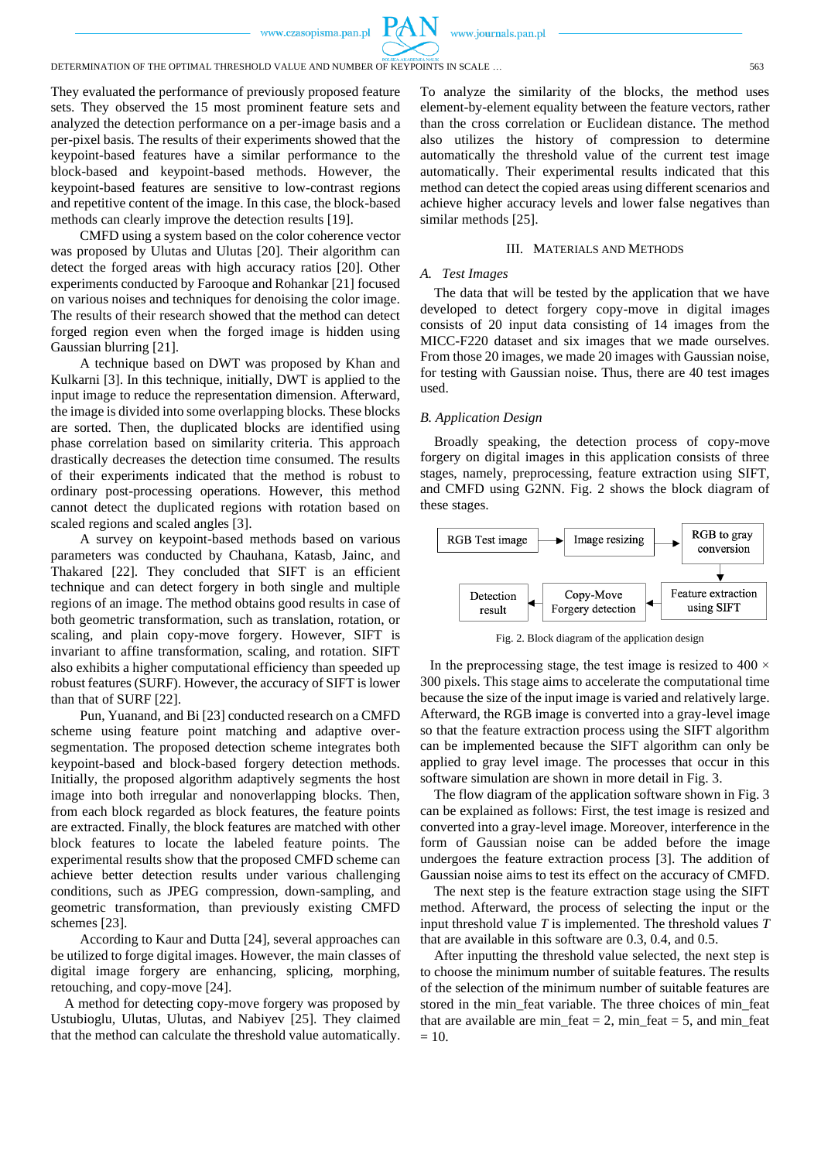

They evaluated the performance of previously proposed feature sets. They observed the 15 most prominent feature sets and analyzed the detection performance on a per-image basis and a per-pixel basis. The results of their experiments showed that the keypoint-based features have a similar performance to the block-based and keypoint-based methods. However, the keypoint-based features are sensitive to low-contrast regions and repetitive content of the image. In this case, the block-based methods can clearly improve the detection results [19].

CMFD using a system based on the color coherence vector was proposed by Ulutas and Ulutas [20]. Their algorithm can detect the forged areas with high accuracy ratios [20]. Other experiments conducted by Farooque and Rohankar [21] focused on various noises and techniques for denoising the color image. The results of their research showed that the method can detect forged region even when the forged image is hidden using Gaussian blurring [21].

A technique based on DWT was proposed by Khan and Kulkarni [3]. In this technique, initially, DWT is applied to the input image to reduce the representation dimension. Afterward, the image is divided into some overlapping blocks. These blocks are sorted. Then, the duplicated blocks are identified using phase correlation based on similarity criteria. This approach drastically decreases the detection time consumed. The results of their experiments indicated that the method is robust to ordinary post-processing operations. However, this method cannot detect the duplicated regions with rotation based on scaled regions and scaled angles [3].

A survey on keypoint-based methods based on various parameters was conducted by Chauhana, Katasb, Jainc, and Thakared [22]. They concluded that SIFT is an efficient technique and can detect forgery in both single and multiple regions of an image. The method obtains good results in case of both geometric transformation, such as translation, rotation, or scaling, and plain copy-move forgery. However, SIFT is invariant to affine transformation, scaling, and rotation. SIFT also exhibits a higher computational efficiency than speeded up robust features (SURF). However, the accuracy of SIFT is lower than that of SURF [22].

Pun, Yuanand, and Bi [23] conducted research on a CMFD scheme using feature point matching and adaptive oversegmentation. The proposed detection scheme integrates both keypoint-based and block-based forgery detection methods. Initially, the proposed algorithm adaptively segments the host image into both irregular and nonoverlapping blocks. Then, from each block regarded as block features, the feature points are extracted. Finally, the block features are matched with other block features to locate the labeled feature points. The experimental results show that the proposed CMFD scheme can achieve better detection results under various challenging conditions, such as JPEG compression, down-sampling, and geometric transformation, than previously existing CMFD schemes [23].

According to Kaur and Dutta [24], several approaches can be utilized to forge digital images. However, the main classes of digital image forgery are enhancing, splicing, morphing, retouching, and copy-move [24].

A method for detecting copy-move forgery was proposed by Ustubioglu*,* Ulutas, Ulutas, and Nabiyev [25]. They claimed that the method can calculate the threshold value automatically.

To analyze the similarity of the blocks, the method uses element-by-element equality between the feature vectors, rather than the cross correlation or Euclidean distance. The method also utilizes the history of compression to determine automatically the threshold value of the current test image automatically. Their experimental results indicated that this method can detect the copied areas using different scenarios and achieve higher accuracy levels and lower false negatives than similar methods [25].

#### III. MATERIALS AND METHODS

# *A. Test Images*

The data that will be tested by the application that we have developed to detect forgery copy-move in digital images consists of 20 input data consisting of 14 images from the MICC-F220 dataset and six images that we made ourselves. From those 20 images, we made 20 images with Gaussian noise, for testing with Gaussian noise. Thus, there are 40 test images used.

# *B. Application Design*

Broadly speaking, the detection process of copy-move forgery on digital images in this application consists of three stages, namely, preprocessing, feature extraction using SIFT, and CMFD using G2NN. Fig. 2 shows the block diagram of these stages.



Fig. 2. Block diagram of the application design

In the preprocessing stage, the test image is resized to 400  $\times$ 300 pixels. This stage aims to accelerate the computational time because the size of the input image is varied and relatively large. Afterward, the RGB image is converted into a gray-level image so that the feature extraction process using the SIFT algorithm can be implemented because the SIFT algorithm can only be applied to gray level image. The processes that occur in this software simulation are shown in more detail in Fig. 3.

The flow diagram of the application software shown in Fig. 3 can be explained as follows: First, the test image is resized and converted into a gray-level image. Moreover, interference in the form of Gaussian noise can be added before the image undergoes the feature extraction process [3]. The addition of Gaussian noise aims to test its effect on the accuracy of CMFD*.*

The next step is the feature extraction stage using the SIFT method. Afterward, the process of selecting the input or the input threshold value *T* is implemented. The threshold values *T* that are available in this software are 0.3, 0.4, and 0.5.

After inputting the threshold value selected, the next step is to choose the minimum number of suitable features. The results of the selection of the minimum number of suitable features are stored in the min\_feat variable. The three choices of min\_feat that are available are min\_feat  $= 2$ , min\_feat  $= 5$ , and min\_feat  $= 10$ .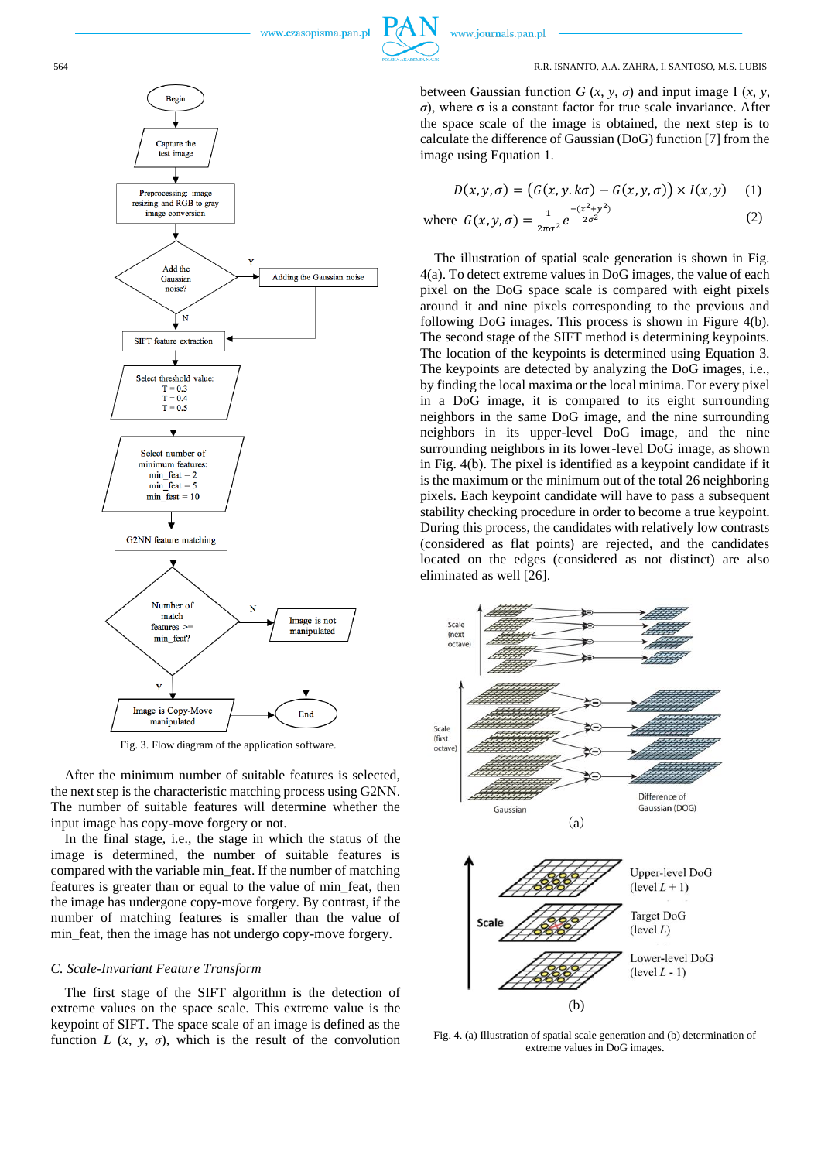#### 564 R.R. ISNANTO, A.A. ZAHRA, I. SANTOSO, M.S. LUBIS

between Gaussian function  $G(x, y, \sigma)$  and input image I  $(x, y, \sigma)$ *σ*), where σ is a constant factor for true scale invariance. After the space scale of the image is obtained, the next step is to calculate the difference of Gaussian (DoG) function [7] from the image using Equation 1.

$$
D(x, y, \sigma) = (G(x, y, k\sigma) - G(x, y, \sigma)) \times I(x, y) \quad (1)
$$

where 
$$
G(x, y, \sigma) = \frac{1}{2\pi\sigma^2} e^{\frac{-(x^2 + y^2)}{2\sigma^2}}
$$
 (2)

The illustration of spatial scale generation is shown in Fig. 4(a). To detect extreme values in DoG images, the value of each pixel on the DoG space scale is compared with eight pixels around it and nine pixels corresponding to the previous and following DoG images. This process is shown in Figure 4(b). The second stage of the SIFT method is determining keypoints. The location of the keypoints is determined using Equation 3. The keypoints are detected by analyzing the DoG images, i.e., by finding the local maxima or the local minima. For every pixel in a DoG image, it is compared to its eight surrounding neighbors in the same DoG image, and the nine surrounding neighbors in its upper-level DoG image, and the nine surrounding neighbors in its lower-level DoG image, as shown in Fig. 4(b). The pixel is identified as a keypoint candidate if it is the maximum or the minimum out of the total 26 neighboring pixels. Each keypoint candidate will have to pass a subsequent stability checking procedure in order to become a true keypoint. During this process, the candidates with relatively low contrasts (considered as flat points) are rejected, and the candidates located on the edges (considered as not distinct) are also eliminated as well [26].



Fig. 4. (a) Illustration of spatial scale generation and (b) determination of extreme values in DoG images.



Fig. 3. Flow diagram of the application software.

After the minimum number of suitable features is selected, the next step is the characteristic matching process using G2NN. The number of suitable features will determine whether the input image has copy-move forgery or not.

In the final stage, i.e., the stage in which the status of the image is determined, the number of suitable features is compared with the variable min\_feat. If the number of matching features is greater than or equal to the value of min\_feat, then the image has undergone copy-move forgery. By contrast, if the number of matching features is smaller than the value of min\_feat, then the image has not undergo copy-move forgery.

# *C. Scale-Invariant Feature Transform*

The first stage of the SIFT algorithm is the detection of extreme values on the space scale. This extreme value is the keypoint of SIFT. The space scale of an image is defined as the function *L*  $(x, y, \sigma)$ , which is the result of the convolution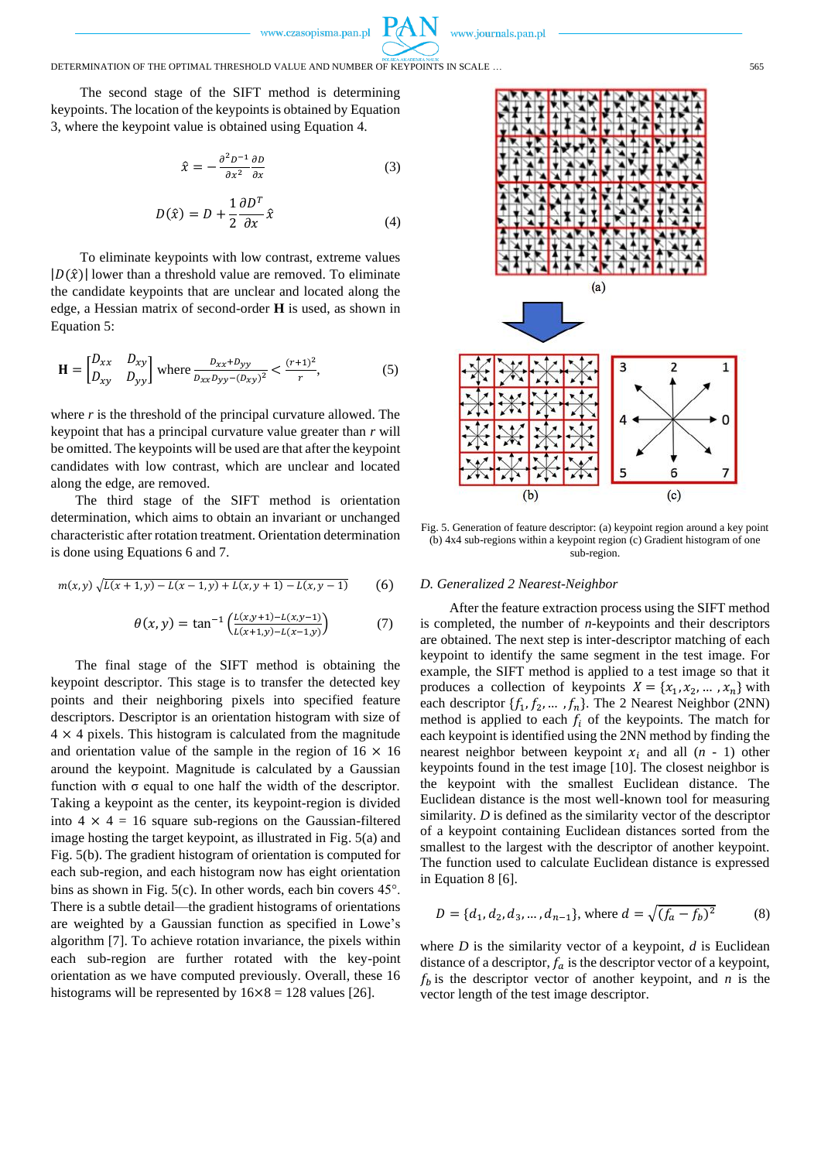www.journals.pan.pl

# DETERMINATION OF THE OPTIMAL THRESHOLD VALUE AND NUMBER OF KEYPOINTS IN SCALE … 565

The second stage of the SIFT method is determining keypoints. The location of the keypoints is obtained by Equation 3, where the keypoint value is obtained using Equation 4.

$$
\hat{x} = -\frac{\partial^2 D^{-1}}{\partial x^2} \frac{\partial D}{\partial x} \tag{3}
$$

$$
D(\hat{x}) = D + \frac{1}{2} \frac{\partial D^T}{\partial x} \hat{x}
$$
 (4)

To eliminate keypoints with low contrast, extreme values  $|D(\hat{x})|$  lower than a threshold value are removed. To eliminate the candidate keypoints that are unclear and located along the edge, a Hessian matrix of second-order **H** is used, as shown in Equation 5:

$$
\mathbf{H} = \begin{bmatrix} D_{xx} & D_{xy} \\ D_{xy} & D_{yy} \end{bmatrix} \text{ where } \frac{D_{xx} + D_{yy}}{D_{xx}D_{yy} - (D_{xy})^2} < \frac{(r+1)^2}{r}, \tag{5}
$$

where *r* is the threshold of the principal curvature allowed. The keypoint that has a principal curvature value greater than *r* will be omitted. The keypoints will be used are that after the keypoint candidates with low contrast, which are unclear and located along the edge, are removed.

The third stage of the SIFT method is orientation determination, which aims to obtain an invariant or unchanged characteristic after rotation treatment. Orientation determination is done using Equations 6 and 7.

$$
m(x,y)\sqrt{L(x+1,y)-L(x-1,y)+L(x,y+1)-L(x,y-1)}\qquad (6)
$$

$$
\theta(x, y) = \tan^{-1} \left( \frac{L(x, y+1) - L(x, y-1)}{L(x+1, y) - L(x-1, y)} \right) \tag{7}
$$

The final stage of the SIFT method is obtaining the keypoint descriptor. This stage is to transfer the detected key points and their neighboring pixels into specified feature descriptors. Descriptor is an orientation histogram with size of  $4 \times 4$  pixels. This histogram is calculated from the magnitude and orientation value of the sample in the region of  $16 \times 16$ around the keypoint. Magnitude is calculated by a Gaussian function with  $\sigma$  equal to one half the width of the descriptor. Taking a keypoint as the center, its keypoint-region is divided into  $4 \times 4 = 16$  square sub-regions on the Gaussian-filtered image hosting the target keypoint, as illustrated in Fig. 5(a) and Fig. 5(b). The gradient histogram of orientation is computed for each sub-region, and each histogram now has eight orientation bins as shown in Fig. 5(c). In other words, each bin covers 45°. There is a subtle detail—the gradient histograms of orientations are weighted by a Gaussian function as specified in Lowe's algorithm [7]. To achieve rotation invariance, the pixels within each sub-region are further rotated with the key-point orientation as we have computed previously. Overall, these 16 histograms will be represented by  $16 \times 8 = 128$  values [26].



Fig. 5. Generation of feature descriptor: (a) keypoint region around a key point (b) 4x4 sub-regions within a keypoint region (c) Gradient histogram of one sub-region.

# *D. Generalized 2 Nearest-Neighbor*

After the feature extraction process using the SIFT method is completed, the number of *n*-keypoints and their descriptors are obtained. The next step is inter-descriptor matching of each keypoint to identify the same segment in the test image. For example, the SIFT method is applied to a test image so that it produces a collection of keypoints  $X = \{x_1, x_2, ..., x_n\}$  with each descriptor  $\{f_1, f_2, ..., f_n\}$ . The 2 Nearest Neighbor (2NN) method is applied to each  $f_i$  of the keypoints. The match for each keypoint is identified using the 2NN method by finding the nearest neighbor between keypoint  $x_i$  and all  $(n - 1)$  other keypoints found in the test image [10]. The closest neighbor is the keypoint with the smallest Euclidean distance. The Euclidean distance is the most well-known tool for measuring similarity. *D* is defined as the similarity vector of the descriptor of a keypoint containing Euclidean distances sorted from the smallest to the largest with the descriptor of another keypoint. The function used to calculate Euclidean distance is expressed in Equation 8 [6].

$$
D = \{d_1, d_2, d_3, ..., d_{n-1}\}, \text{ where } d = \sqrt{(f_a - f_b)^2}
$$
 (8)

where *D* is the similarity vector of a keypoint, *d* is Euclidean distance of a descriptor,  $f_a$  is the descriptor vector of a keypoint,  $f_h$  is the descriptor vector of another keypoint, and *n* is the vector length of the test image descriptor.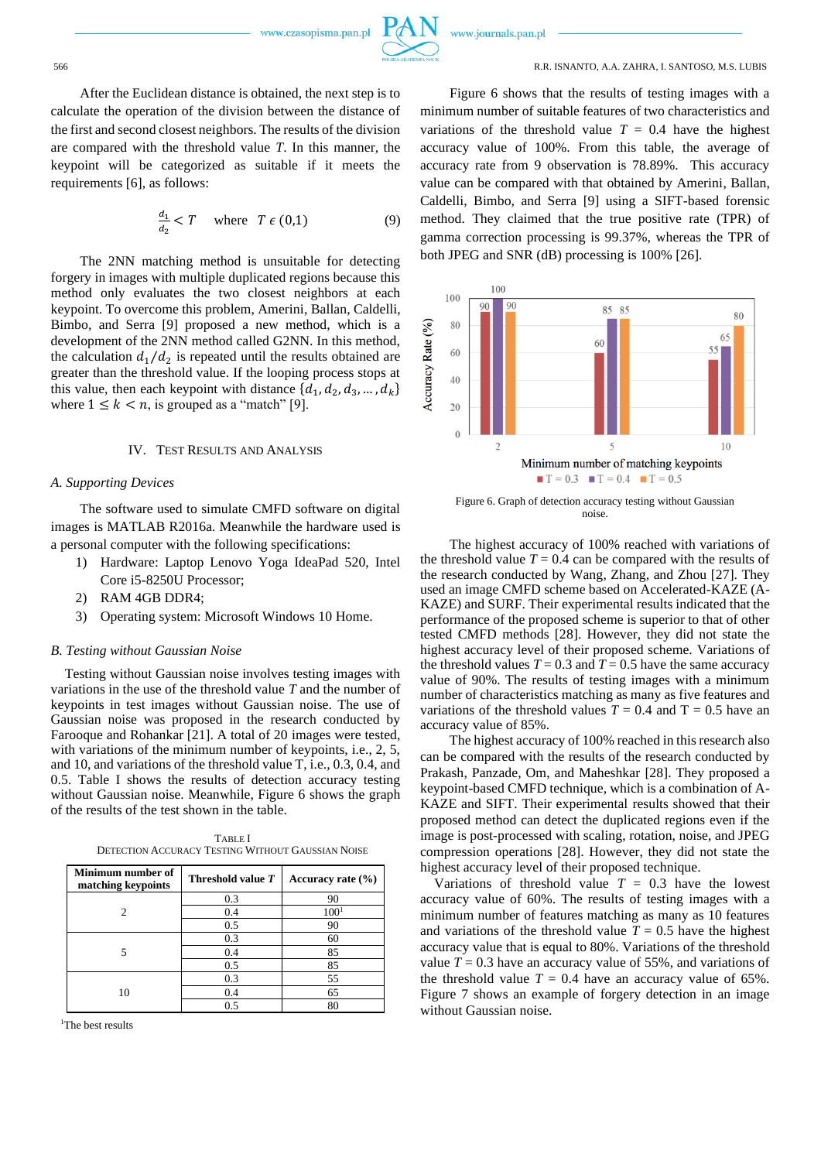

#### 566 R.R. ISNANTO, A.A. ZAHRA, I. SANTOSO, M.S. LUBIS

After the Euclidean distance is obtained, the next step is to calculate the operation of the division between the distance of the first and second closest neighbors. The results of the division are compared with the threshold value *T*. In this manner, the keypoint will be categorized as suitable if it meets the requirements [6], as follows:

$$
\frac{d_1}{d_2} < T \quad \text{where} \quad T \in (0,1) \tag{9}
$$

The 2NN matching method is unsuitable for detecting forgery in images with multiple duplicated regions because this method only evaluates the two closest neighbors at each keypoint. To overcome this problem, Amerini, Ballan, Caldelli, Bimbo, and Serra [9] proposed a new method, which is a development of the 2NN method called G2NN. In this method, the calculation  $d_1/d_2$  is repeated until the results obtained are greater than the threshold value. If the looping process stops at this value, then each keypoint with distance  $\{d_1, d_2, d_3, ..., d_k\}$ where  $1 \leq k < n$ , is grouped as a "match" [9].

## IV. TEST RESULTS AND ANALYSIS

#### *A. Supporting Devices*

The software used to simulate CMFD software on digital images is MATLAB R2016a. Meanwhile the hardware used is a personal computer with the following specifications:

- 1) Hardware: Laptop Lenovo Yoga IdeaPad 520, Intel Core i5-8250U Processor;
- 2) RAM 4GB DDR4;
- 3) Operating system: Microsoft Windows 10 Home.

#### *B. Testing without Gaussian Noise*

Testing without Gaussian noise involves testing images with variations in the use of the threshold value *T* and the number of keypoints in test images without Gaussian noise. The use of Gaussian noise was proposed in the research conducted by Farooque and Rohankar [21]. A total of 20 images were tested, with variations of the minimum number of keypoints, i.e., 2, 5, and 10, and variations of the threshold value T, i.e., 0.3, 0.4, and 0.5. Table I shows the results of detection accuracy testing without Gaussian noise. Meanwhile, Figure 6 shows the graph of the results of the test shown in the table.

| Minimum number of<br>matching keypoints | Threshold value T | Accuracy rate $(\% )$ |
|-----------------------------------------|-------------------|-----------------------|
| $\mathcal{D}_{\mathcal{L}}$             | 0.3               | 90                    |
|                                         | 0.4               | 100 <sup>1</sup>      |
|                                         | 0.5               | 90                    |
|                                         | 0.3               | 60                    |
|                                         | 0.4               | 85                    |
|                                         | 0.5               | 85                    |
| 10                                      | 0.3               | 55                    |
|                                         | 0.4               | 65                    |
|                                         | 0.5               | 80                    |

TABLE I DETECTION ACCURACY TESTING WITHOUT GAUSSIAN NOISE

<sup>1</sup>The best results

Figure 6 shows that the results of testing images with a minimum number of suitable features of two characteristics and variations of the threshold value  $T = 0.4$  have the highest accuracy value of 100%. From this table, the average of accuracy rate from 9 observation is 78.89%. This accuracy value can be compared with that obtained by Amerini, Ballan, Caldelli, Bimbo, and Serra [9] using a SIFT-based forensic method. They claimed that the true positive rate (TPR) of gamma correction processing is 99.37%, whereas the TPR of both JPEG and SNR (dB) processing is 100% [26].



Figure 6. Graph of detection accuracy testing without Gaussian noise.

The highest accuracy of 100% reached with variations of the threshold value  $T = 0.4$  can be compared with the results of the research conducted by Wang, Zhang, and Zhou [27]. They used an image CMFD scheme based on Accelerated-KAZE (A-KAZE) and SURF. Their experimental results indicated that the performance of the proposed scheme is superior to that of other tested CMFD methods [28]. However, they did not state the highest accuracy level of their proposed scheme. Variations of the threshold values  $T = 0.3$  and  $T = 0.5$  have the same accuracy value of 90%. The results of testing images with a minimum number of characteristics matching as many as five features and variations of the threshold values  $T = 0.4$  and  $T = 0.5$  have an accuracy value of 85%.

The highest accuracy of 100% reached in this research also can be compared with the results of the research conducted by Prakash, Panzade, Om, and Maheshkar [28]. They proposed a keypoint-based CMFD technique, which is a combination of A-KAZE and SIFT. Their experimental results showed that their proposed method can detect the duplicated regions even if the image is post-processed with scaling, rotation, noise, and JPEG compression operations [28]. However, they did not state the highest accuracy level of their proposed technique.

Variations of threshold value  $T = 0.3$  have the lowest accuracy value of 60%. The results of testing images with a minimum number of features matching as many as 10 features and variations of the threshold value  $T = 0.5$  have the highest accuracy value that is equal to 80%. Variations of the threshold value  $T = 0.3$  have an accuracy value of 55%, and variations of the threshold value  $T = 0.4$  have an accuracy value of 65%. Figure 7 shows an example of forgery detection in an image without Gaussian noise.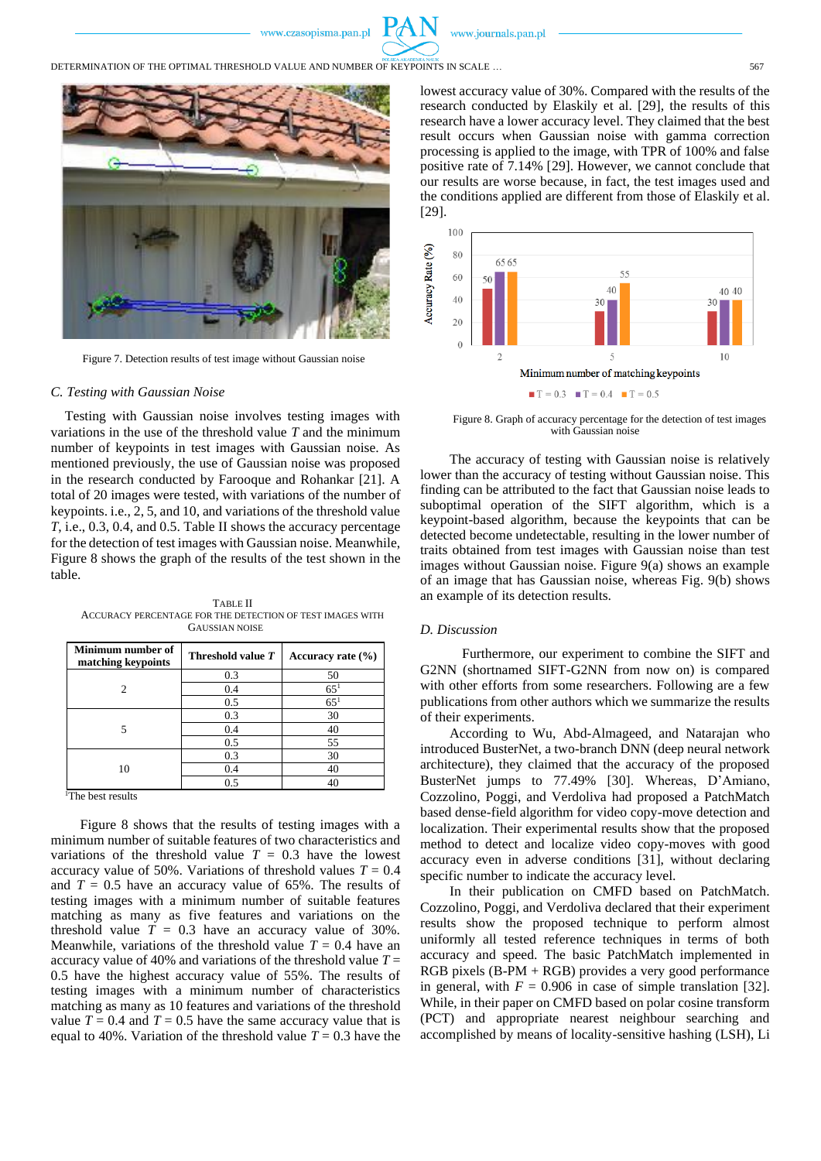

DETERMINATION OF THE OPTIMAL THRESHOLD VALUE AND NUMBER OF KEYPOINTS IN SCALE ... 557



Figure 7. Detection results of test image without Gaussian noise

#### *C. Testing with Gaussian Noise*

Testing with Gaussian noise involves testing images with variations in the use of the threshold value *T* and the minimum number of keypoints in test images with Gaussian noise. As mentioned previously, the use of Gaussian noise was proposed in the research conducted by Farooque and Rohankar [21]. A total of 20 images were tested, with variations of the number of keypoints. i.e., 2, 5, and 10, and variations of the threshold value *T*, i.e., 0.3, 0.4, and 0.5. Table II shows the accuracy percentage for the detection of test images with Gaussian noise. Meanwhile, Figure 8 shows the graph of the results of the test shown in the table.

TABLE II ACCURACY PERCENTAGE FOR THE DETECTION OF TEST IMAGES WITH GAUSSIAN NOISE

| Minimum number of<br>matching keypoints | Threshold value T | Accuracy rate $(\% )$ |
|-----------------------------------------|-------------------|-----------------------|
| 2                                       | 0.3               | 50                    |
|                                         | 0.4               | $65^{1}$              |
|                                         | 0.5               | $65^{1}$              |
| 5                                       | 0.3               | 30                    |
|                                         | 0.4               | 40                    |
|                                         | 0.5               | 55                    |
| 10                                      | 0.3               | 30                    |
|                                         | 0.4               | 40                    |
|                                         | 0.5               | 40                    |

<sup>1</sup>The best results

Figure 8 shows that the results of testing images with a minimum number of suitable features of two characteristics and variations of the threshold value  $T = 0.3$  have the lowest accuracy value of 50%. Variations of threshold values  $T = 0.4$ and  $T = 0.5$  have an accuracy value of 65%. The results of testing images with a minimum number of suitable features matching as many as five features and variations on the threshold value  $T = 0.3$  have an accuracy value of 30%. Meanwhile, variations of the threshold value  $T = 0.4$  have an accuracy value of 40% and variations of the threshold value *T* = 0.5 have the highest accuracy value of 55%. The results of testing images with a minimum number of characteristics matching as many as 10 features and variations of the threshold value  $T = 0.4$  and  $T = 0.5$  have the same accuracy value that is equal to 40%. Variation of the threshold value  $T = 0.3$  have the lowest accuracy value of 30%. Compared with the results of the research conducted by Elaskily et al. [29], the results of this research have a lower accuracy level. They claimed that the best result occurs when Gaussian noise with gamma correction processing is applied to the image, with TPR of 100% and false positive rate of 7.14% [29]. However, we cannot conclude that our results are worse because, in fact, the test images used and the conditions applied are different from those of Elaskily et al. [29].



Figure 8. Graph of accuracy percentage for the detection of test images with Gaussian noise

The accuracy of testing with Gaussian noise is relatively lower than the accuracy of testing without Gaussian noise. This finding can be attributed to the fact that Gaussian noise leads to suboptimal operation of the SIFT algorithm, which is a keypoint-based algorithm, because the keypoints that can be detected become undetectable, resulting in the lower number of traits obtained from test images with Gaussian noise than test images without Gaussian noise. Figure 9(a) shows an example of an image that has Gaussian noise, whereas Fig. 9(b) shows an example of its detection results.

# *D. Discussion*

Furthermore, our experiment to combine the SIFT and G2NN (shortnamed SIFT-G2NN from now on) is compared with other efforts from some researchers. Following are a few publications from other authors which we summarize the results of their experiments.

According to Wu, Abd-Almageed, and Natarajan who introduced BusterNet, a two-branch DNN (deep neural network architecture), they claimed that the accuracy of the proposed BusterNet jumps to 77.49% [30]. Whereas, D'Amiano, Cozzolino, Poggi, and Verdoliva had proposed a PatchMatch based dense-field algorithm for video copy-move detection and localization. Their experimental results show that the proposed method to detect and localize video copy-moves with good accuracy even in adverse conditions [31], without declaring specific number to indicate the accuracy level.

In their publication on CMFD based on PatchMatch. Cozzolino, Poggi, and Verdoliva declared that their experiment results show the proposed technique to perform almost uniformly all tested reference techniques in terms of both accuracy and speed. The basic PatchMatch implemented in RGB pixels (B-PM + RGB) provides a very good performance in general, with  $F = 0.906$  in case of simple translation [32]. While, in their paper on CMFD based on polar cosine transform (PCT) and appropriate nearest neighbour searching and accomplished by means of locality-sensitive hashing (LSH), Li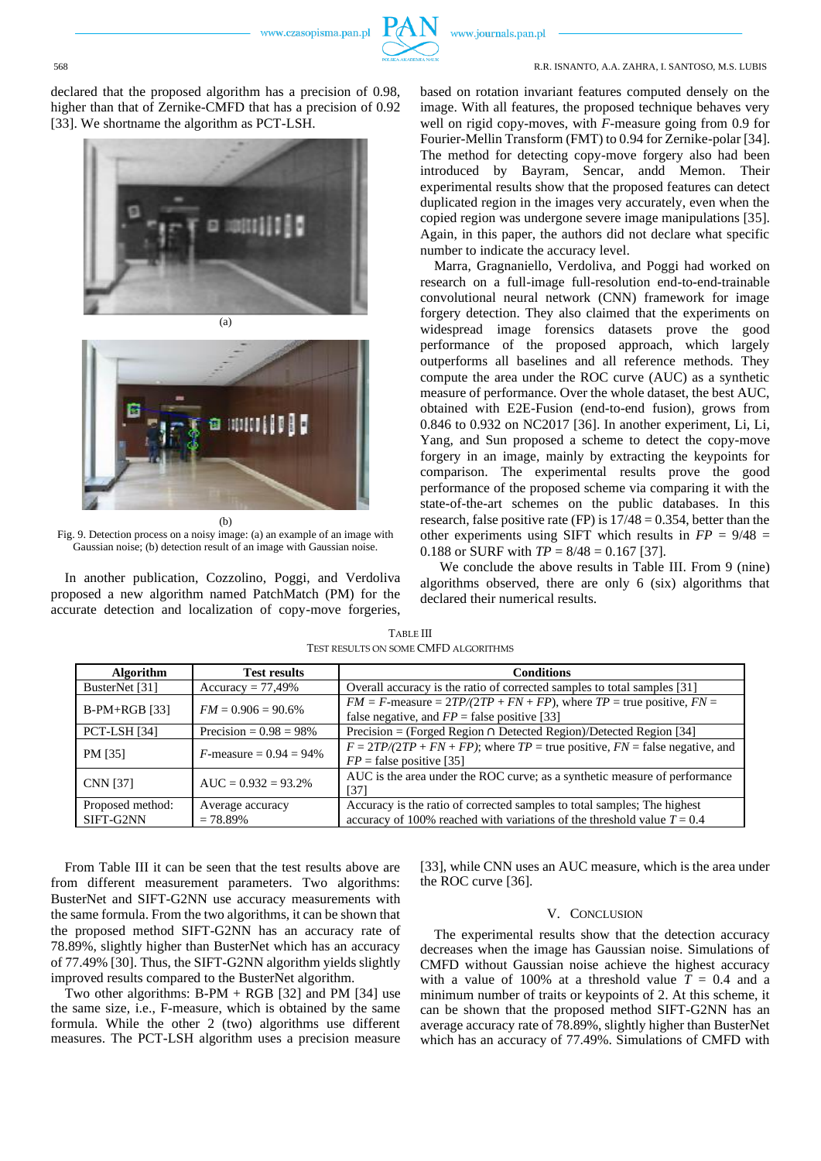

#### 568 R.R. ISNANTO, A.A. ZAHRA, I. SANTOSO, M.S. LUBIS

declared that the proposed algorithm has a precision of 0.98, higher than that of Zernike-CMFD that has a precision of 0.92 [33]. We shortname the algorithm as PCT-LSH.





Fig. 9. Detection process on a noisy image: (a) an example of an image with Gaussian noise; (b) detection result of an image with Gaussian noise*.*

In another publication, Cozzolino, Poggi, and Verdoliva proposed a new algorithm named PatchMatch (PM) for the accurate detection and localization of copy-move forgeries,

based on rotation invariant features computed densely on the image. With all features, the proposed technique behaves very well on rigid copy-moves, with *F*-measure going from 0.9 for Fourier-Mellin Transform (FMT) to 0.94 for Zernike-polar [34]. The method for detecting copy-move forgery also had been introduced by Bayram, Sencar, andd Memon. Their experimental results show that the proposed features can detect duplicated region in the images very accurately, even when the copied region was undergone severe image manipulations [35]. Again, in this paper, the authors did not declare what specific number to indicate the accuracy level.

Marra, Gragnaniello, Verdoliva, and Poggi had worked on research on a full-image full-resolution end-to-end-trainable convolutional neural network (CNN) framework for image forgery detection. They also claimed that the experiments on widespread image forensics datasets prove the good performance of the proposed approach, which largely outperforms all baselines and all reference methods. They compute the area under the ROC curve (AUC) as a synthetic measure of performance. Over the whole dataset, the best AUC, obtained with E2E-Fusion (end-to-end fusion), grows from 0.846 to 0.932 on NC2017 [36]. In another experiment, Li, Li, Yang, and Sun proposed a scheme to detect the copy-move forgery in an image, mainly by extracting the keypoints for comparison. The experimental results prove the good performance of the proposed scheme via comparing it with the state-of-the-art schemes on the public databases. In this research, false positive rate (FP) is  $17/48 = 0.354$ , better than the other experiments using SIFT which results in  $FP = 9/48$  = 0.188 or SURF with  $TP = 8/48 = 0.167$  [37].

We conclude the above results in Table III. From 9 (nine) algorithms observed, there are only 6 (six) algorithms that declared their numerical results.

| <b>Algorithm</b>    | <b>Test results</b>               | <b>Conditions</b>                                                                                                                |
|---------------------|-----------------------------------|----------------------------------------------------------------------------------------------------------------------------------|
| BusterNet [31]      | $Accuracy = 77,49\%$              | Overall accuracy is the ratio of corrected samples to total samples [31]                                                         |
| $B-PM+RGB$ [33]     | $FM = 0.906 = 90.6\%$             | $FM = F$ -measure = $2TP/(2TP + FN + FP)$ , where $TP =$ true positive, $FN =$<br>false negative, and $FP = false$ positive [33] |
| <b>PCT-LSH [34]</b> | Precision = $0.98 = 98\%$         | Precision = (Forged Region $\cap$ Detected Region)/Detected Region [34]                                                          |
| PM [35]             | <i>F</i> -measure = $0.94 = 94\%$ | $F = 2TP/(2TP + FN + FP)$ ; where $TP =$ true positive, $FN =$ false negative, and<br>$FP = false$ positive [35]                 |
| <b>CNN</b> [37]     | $AUC = 0.932 = 93.2\%$            | AUC is the area under the ROC curve; as a synthetic measure of performance<br>[37]                                               |
| Proposed method:    | Average accuracy                  | Accuracy is the ratio of corrected samples to total samples; The highest                                                         |
| SIFT-G2NN           | $= 78.89\%$                       | accuracy of 100% reached with variations of the threshold value $T = 0.4$                                                        |

TABLE III TEST RESULTS ON SOME CMFD ALGORITHMS

From Table III it can be seen that the test results above are from different measurement parameters. Two algorithms: BusterNet and SIFT-G2NN use accuracy measurements with the same formula. From the two algorithms, it can be shown that the proposed method SIFT-G2NN has an accuracy rate of 78.89%, slightly higher than BusterNet which has an accuracy of 77.49% [30]. Thus, the SIFT-G2NN algorithm yields slightly improved results compared to the BusterNet algorithm.

Two other algorithms:  $B-PM + RGB$  [32] and PM [34] use the same size, i.e., F-measure, which is obtained by the same formula. While the other 2 (two) algorithms use different measures. The PCT-LSH algorithm uses a precision measure

[33], while CNN uses an AUC measure, which is the area under the ROC curve [36].

#### V. CONCLUSION

The experimental results show that the detection accuracy decreases when the image has Gaussian noise. Simulations of CMFD without Gaussian noise achieve the highest accuracy with a value of 100% at a threshold value  $T = 0.4$  and a minimum number of traits or keypoints of 2. At this scheme, it can be shown that the proposed method SIFT-G2NN has an average accuracy rate of 78.89%, slightly higher than BusterNet which has an accuracy of 77.49%. Simulations of CMFD with